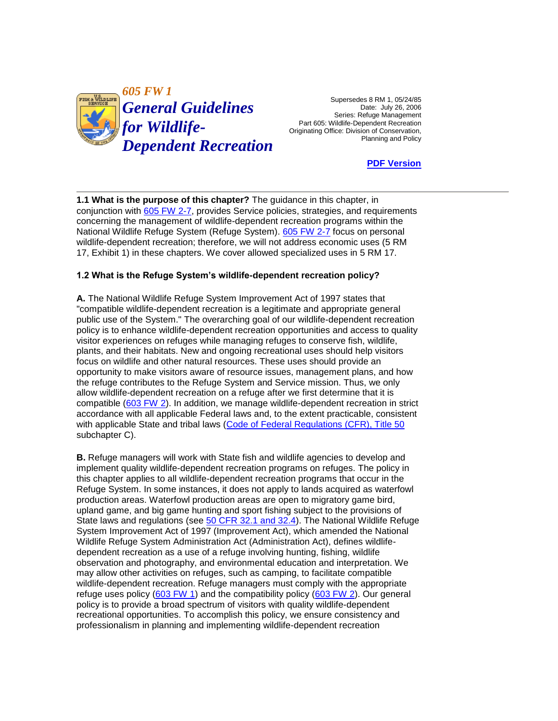

Supersedes 8 RM 1, 05/24/85 Date: July 26, 2006 Part 605: Wildlife-Dependent Recreation<br>Originating Office: Division of Conservation, Series: Refuge Management

**[PDF Version](http://policy.fws.gov/605fw1.pdf)** 

**1.1 What is the purpose of this chapter?** The guidance in this chapter, in conjunction with [605 FW 2-7,](http://www.fws.gov/policy/manuals/) provides Service policies, strategies, and requirements concerning the management of wildlife-dependent recreation programs within the National Wildlife Refuge System (Refuge System). [605 FW 2-7](http://www.fws.gov/policy/manuals/) focus on personal wildlife-dependent recreation; therefore, we will not address economic uses (5 RM 17, Exhibit 1) in these chapters. We cover allowed specialized uses in 5 RM 17.

# **1.2 What is the Refuge System's wildlife-dependent recreation policy?**

 policy is to enhance wildlife-dependent recreation opportunities and access to quality opportunity to make visitors aware of resource issues, management plans, and how **A.** The National Wildlife Refuge System Improvement Act of 1997 states that "compatible wildlife-dependent recreation is a legitimate and appropriate general public use of the System." The overarching goal of our wildlife-dependent recreation visitor experiences on refuges while managing refuges to conserve fish, wildlife, plants, and their habitats. New and ongoing recreational uses should help visitors focus on wildlife and other natural resources. These uses should provide an the refuge contributes to the Refuge System and Service mission. Thus, we only allow wildlife-dependent recreation on a refuge after we first determine that it is compatible [\(603 FW 2\)](http://www.fws.gov/policy/603fw2.html). In addition, we manage wildlife-dependent recreation in strict accordance with all applicable Federal laws and, to the extent practicable, consistent with applicable State and tribal laws [\(Code of Federal Regulations \(CFR\), Title 50](http://ecfr.gpoaccess.gov/cgi/t/text/text-idx?sid=d09a272dd17323b61f8a0bab0264bec8&c=ecfr&tpl=/ecfrbrowse/Title50/50tab_02.tpl)  subchapter C).

 Refuge System. In some instances, it does not apply to lands acquired as waterfowl upland game, and big game hunting and sport fishing subject to the provisions of State laws and regulations (see [50 CFR 32.1 and 32.4\)](http://ecfr.gpoaccess.gov/cgi/t/text/text-idx?sid=d09a272dd17323b61f8a0bab0264bec8&c=ecfr&tpl=/ecfrbrowse/Title50/50cfrv6_02.tpl). The National Wildlife Refuge wildlife-dependent recreation. Refuge managers must comply with the appropriate policy is to provide a broad spectrum of visitors with quality wildlife-dependent recreational opportunities. To accomplish this policy, we ensure consistency and **B.** Refuge managers will work with State fish and wildlife agencies to develop and implement quality wildlife-dependent recreation programs on refuges. The policy in this chapter applies to all wildlife-dependent recreation programs that occur in the production areas. Waterfowl production areas are open to migratory game bird, System Improvement Act of 1997 (Improvement Act), which amended the National Wildlife Refuge System Administration Act (Administration Act), defines wildlifedependent recreation as a use of a refuge involving hunting, fishing, wildlife observation and photography, and environmental education and interpretation. We may allow other activities on refuges, such as camping, to facilitate compatible refuge uses policy [\(603 FW 1\)](http://www.fws.gov/policy/603fw1.html) and the compatibility policy [\(603 FW 2\)](http://www.fws.gov/policy/603fw2.html). Our general professionalism in planning and implementing wildlife-dependent recreation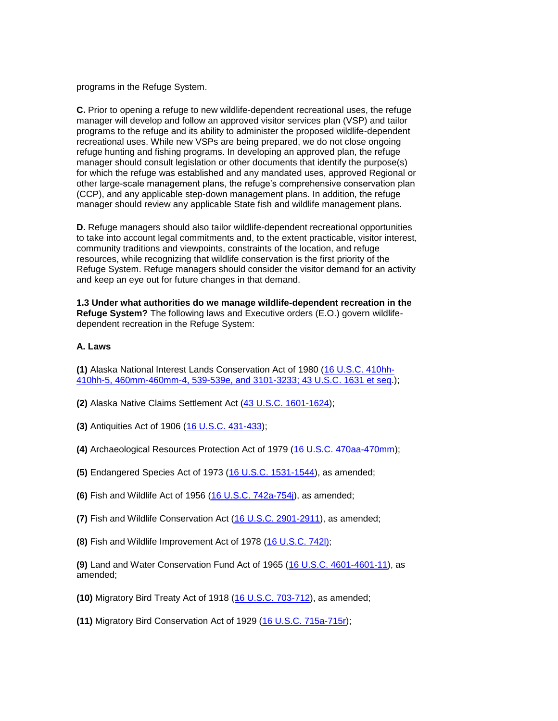programs in the Refuge System.

**C.** Prior to opening a refuge to new wildlife-dependent recreational uses, the refuge manager will develop and follow an approved visitor services plan (VSP) and tailor programs to the refuge and its ability to administer the proposed wildlife-dependent recreational uses. While new VSPs are being prepared, we do not close ongoing refuge hunting and fishing programs. In developing an approved plan, the refuge manager should consult legislation or other documents that identify the purpose(s) for which the refuge was established and any mandated uses, approved Regional or other large-scale management plans, the refuge's comprehensive conservation plan (CCP), and any applicable step-down management plans. In addition, the refuge manager should review any applicable State fish and wildlife management plans.

**D.** Refuge managers should also tailor wildlife-dependent recreational opportunities to take into account legal commitments and, to the extent practicable, visitor interest, community traditions and viewpoints, constraints of the location, and refuge resources, while recognizing that wildlife conservation is the first priority of the Refuge System. Refuge managers should consider the visitor demand for an activity and keep an eye out for future changes in that demand.

**1.3 Under what authorities do we manage wildlife-dependent recreation in the Refuge System?** The following laws and Executive orders (E.O.) govern wildlifedependent recreation in the Refuge System:

#### **A. Laws**

**(1)** Alaska National Interest Lands Conservation Act of 1980 [\(16 U.S.C. 410hh-](http://uscode.house.gov/search/criteria.shtml)[410hh-5, 460mm-460mm-4, 539-539e, and 3101-3233; 43 U.S.C. 1631 et seq.](http://uscode.house.gov/search/criteria.shtml));

**(2)** Alaska Native Claims Settlement Act [\(43 U.S.C. 1601-1624\)](http://uscode.house.gov/search/criteria.shtml);

**(3)** Antiquities Act of 1906 [\(16 U.S.C. 431-433\)](http://uscode.house.gov/search/criteria.shtml);

**(4)** Archaeological Resources Protection Act of 1979 [\(16 U.S.C. 470aa-470mm\)](http://uscode.house.gov/search/criteria.shtml);

**(5)** Endangered Species Act of 1973 [\(16 U.S.C. 1531-1544\)](http://uscode.house.gov/search/criteria.shtml), as amended;

**(6)** Fish and Wildlife Act of 1956 [\(16 U.S.C. 742a-754j\)](http://uscode.house.gov/search/criteria.shtml), as amended;

**(7)** Fish and Wildlife Conservation Act [\(16 U.S.C. 2901-2911\)](http://uscode.house.gov/search/criteria.shtml), as amended;

**(8)** Fish and Wildlife Improvement Act of 1978 [\(16 U.S.C. 742l\);](http://uscode.house.gov/search/criteria.shtml)

**(9)** Land and Water Conservation Fund Act of 1965 [\(16 U.S.C. 4601-4601-11\)](http://uscode.house.gov/search/criteria.shtml), as amended;

**(10)** Migratory Bird Treaty Act of 1918 [\(16 U.S.C. 703-712\)](http://uscode.house.gov/search/criteria.shtml), as amended;

**(11)** Migratory Bird Conservation Act of 1929 [\(16 U.S.C. 715a-715r\)](http://uscode.house.gov/search/criteria.shtml);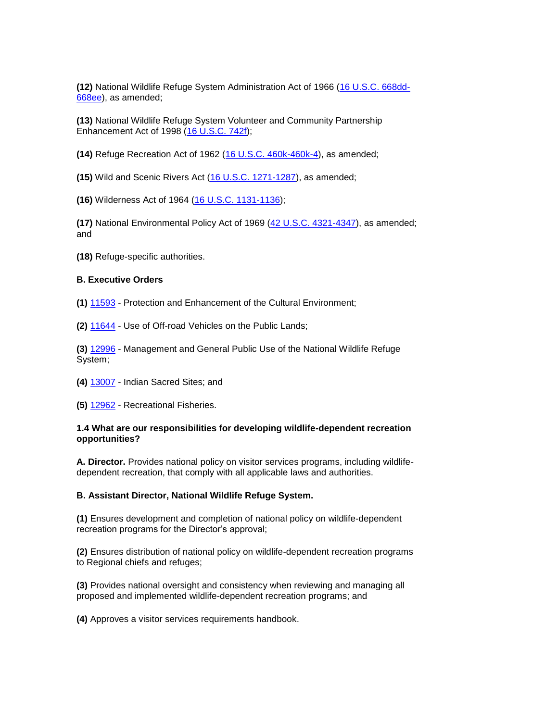**(12)** National Wildlife Refuge System Administration Act of 1966 [\(16 U.S.C. 668dd-](http://uscode.house.gov/search/criteria.shtml)[668ee\)](http://uscode.house.gov/search/criteria.shtml), as amended;

**(13)** National Wildlife Refuge System Volunteer and Community Partnership Enhancement Act of 1998 [\(16 U.S.C. 742f\)](http://uscode.house.gov/search/criteria.shtml);

**(14)** Refuge Recreation Act of 1962 [\(16 U.S.C. 460k-460k-4\)](http://uscode.house.gov/search/criteria.shtml), as amended;

**(15)** Wild and Scenic Rivers Act [\(16 U.S.C. 1271-1287\)](http://uscode.house.gov/search/criteria.shtml), as amended;

**(16)** Wilderness Act of 1964 [\(16 U.S.C. 1131-1136\)](http://uscode.house.gov/search/criteria.shtml);

**(17)** National Environmental Policy Act of 1969 [\(42 U.S.C. 4321-4347\)](http://uscode.house.gov/search/criteria.shtml), as amended; and

**(18)** Refuge-specific authorities.

#### **B. Executive Orders**

**(1)** [11593](http://www.archives.gov/federal-register/executive-orders/1971.html) - Protection and Enhancement of the Cultural Environment;

**(2)** [11644](http://www.archives.gov/federal-register/executive-orders/1972.html) - Use of Off-road Vehicles on the Public Lands;

**(3)** [12996](http://www.archives.gov/federal-register/executive-orders/1996.html) - Management and General Public Use of the National Wildlife Refuge System;

- **(4)** [13007](http://www.archives.gov/federal-register/executive-orders/1996.html)  Indian Sacred Sites; and
- **(5)** [12962](http://www.archives.gov/federal-register/executive-orders/1995.html)  Recreational Fisheries.

#### **1.4 What are our responsibilities for developing wildlife-dependent recreation opportunities?**

 **A. Director.** Provides national policy on visitor services programs, including wildlifedependent recreation, that comply with all applicable laws and authorities.

### **B. Assistant Director, National Wildlife Refuge System.**

**(1)** Ensures development and completion of national policy on wildlife-dependent recreation programs for the Director's approval;

 **(2)** Ensures distribution of national policy on wildlife-dependent recreation programs to Regional chiefs and refuges;

**(3)** Provides national oversight and consistency when reviewing and managing all proposed and implemented wildlife-dependent recreation programs; and

**(4)** Approves a visitor services requirements handbook.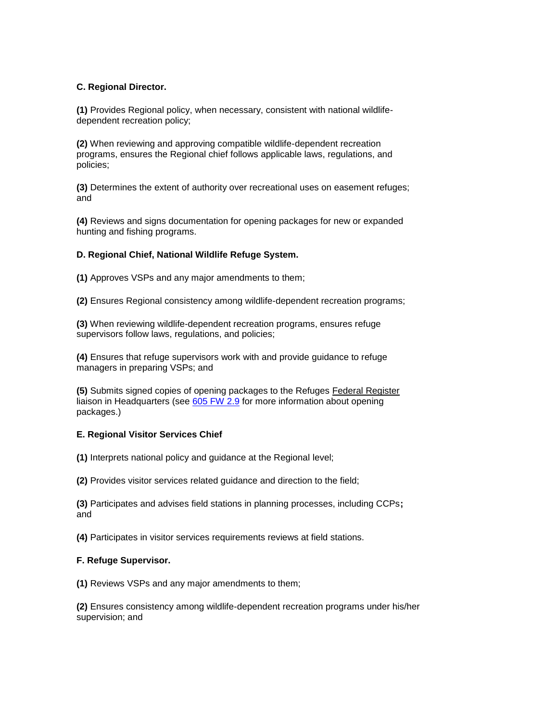## **C. Regional Director.**

 **(1)** Provides Regional policy, when necessary, consistent with national wildlifedependent recreation policy;

**(2)** When reviewing and approving compatible wildlife-dependent recreation programs, ensures the Regional chief follows applicable laws, regulations, and policies;

**(3)** Determines the extent of authority over recreational uses on easement refuges; and

**(4)** Reviews and signs documentation for opening packages for new or expanded hunting and fishing programs.

### **D. Regional Chief, National Wildlife Refuge System.**

**(1)** Approves VSPs and any major amendments to them;

**(2)** Ensures Regional consistency among wildlife-dependent recreation programs;

**(3)** When reviewing wildlife-dependent recreation programs, ensures refuge supervisors follow laws, regulations, and policies;

**(4)** Ensures that refuge supervisors work with and provide guidance to refuge managers in preparing VSPs; and

 **(5)** Submits signed copies of opening packages to the Refuges Federal Register liaison in Headquarters (see [605 FW 2.9](http://www.fws.gov/policy/605fw2.html) for more information about opening packages.)

### **E. Regional Visitor Services Chief**

**(1)** Interprets national policy and guidance at the Regional level;

**(2)** Provides visitor services related guidance and direction to the field;

 **(3)** Participates and advises field stations in planning processes, including CCPs**;**  and

**(4)** Participates in visitor services requirements reviews at field stations.

### **F. Refuge Supervisor.**

**(1)** Reviews VSPs and any major amendments to them;

**(2)** Ensures consistency among wildlife-dependent recreation programs under his/her supervision; and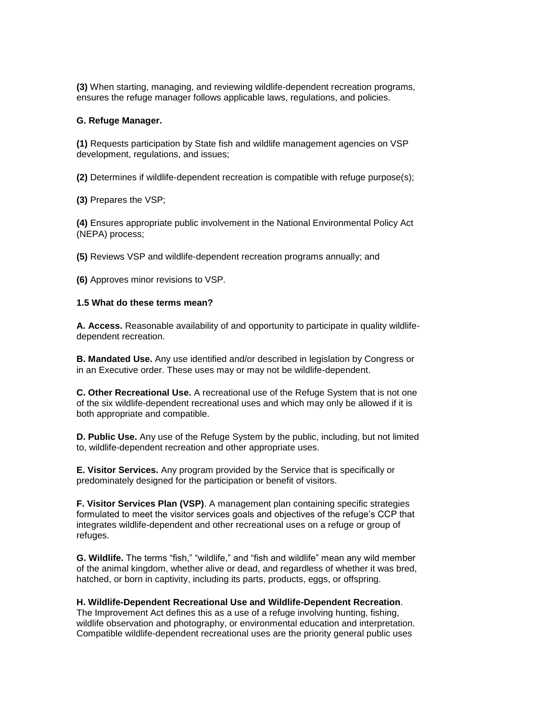**(3)** When starting, managing, and reviewing wildlife-dependent recreation programs, ensures the refuge manager follows applicable laws, regulations, and policies.

#### **G. Refuge Manager.**

 **(1)** Requests participation by State fish and wildlife management agencies on VSP development, regulations, and issues;

**(2)** Determines if wildlife-dependent recreation is compatible with refuge purpose(s);

**(3)** Prepares the VSP;

**(4)** Ensures appropriate public involvement in the National Environmental Policy Act (NEPA) process;

**(5)** Reviews VSP and wildlife-dependent recreation programs annually; and

**(6)** Approves minor revisions to VSP.

#### **1.5 What do these terms mean?**

 **A. Access.** Reasonable availability of and opportunity to participate in quality wildlifedependent recreation.

**B. Mandated Use.** Any use identified and/or described in legislation by Congress or in an Executive order. These uses may or may not be wildlife-dependent.

**C. Other Recreational Use.** A recreational use of the Refuge System that is not one of the six wildlife-dependent recreational uses and which may only be allowed if it is both appropriate and compatible.

**D. Public Use.** Any use of the Refuge System by the public, including, but not limited to, wildlife-dependent recreation and other appropriate uses.

 **E. Visitor Services.** Any program provided by the Service that is specifically or predominately designed for the participation or benefit of visitors.

 integrates wildlife-dependent and other recreational uses on a refuge or group of **F. Visitor Services Plan (VSP)**. A management plan containing specific strategies formulated to meet the visitor services goals and objectives of the refuge's CCP that refuges.

**G. Wildlife.** The terms "fish," "wildlife," and "fish and wildlife" mean any wild member of the animal kingdom, whether alive or dead, and regardless of whether it was bred, hatched, or born in captivity, including its parts, products, eggs, or offspring.

**H. Wildlife-Dependent Recreational Use and Wildlife-Dependent Recreation**. The Improvement Act defines this as a use of a refuge involving hunting, fishing, wildlife observation and photography, or environmental education and interpretation. Compatible wildlife-dependent recreational uses are the priority general public uses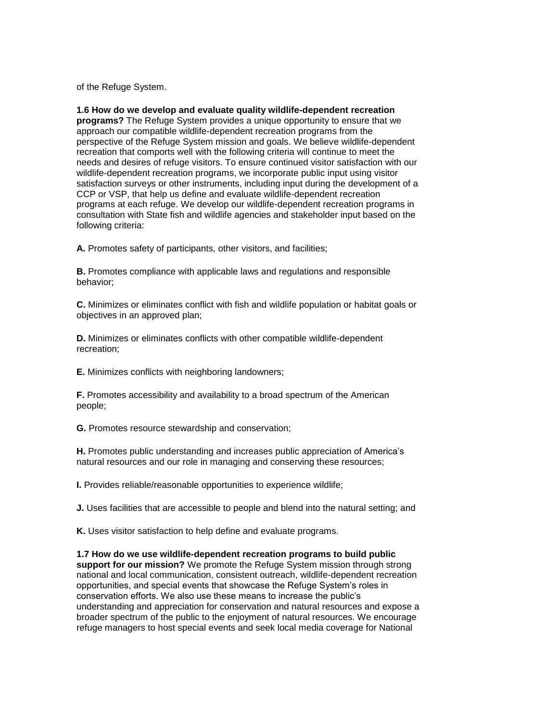of the Refuge System.

 approach our compatible wildlife-dependent recreation programs from the needs and desires of refuge visitors. To ensure continued visitor satisfaction with our satisfaction surveys or other instruments, including input during the development of a programs at each refuge. We develop our wildlife-dependent recreation programs in consultation with State fish and wildlife agencies and stakeholder input based on the **1.6 How do we develop and evaluate quality wildlife-dependent recreation programs?** The Refuge System provides a unique opportunity to ensure that we perspective of the Refuge System mission and goals. We believe wildlife-dependent recreation that comports well with the following criteria will continue to meet the wildlife-dependent recreation programs, we incorporate public input using visitor CCP or VSP, that help us define and evaluate wildlife-dependent recreation following criteria:

**A.** Promotes safety of participants, other visitors, and facilities;

**B.** Promotes compliance with applicable laws and regulations and responsible behavior;

**C.** Minimizes or eliminates conflict with fish and wildlife population or habitat goals or objectives in an approved plan;

**D.** Minimizes or eliminates conflicts with other compatible wildlife-dependent recreation;

**E.** Minimizes conflicts with neighboring landowners;

**F.** Promotes accessibility and availability to a broad spectrum of the American people;

**G.** Promotes resource stewardship and conservation;

**H.** Promotes public understanding and increases public appreciation of America's natural resources and our role in managing and conserving these resources;

**I.** Provides reliable/reasonable opportunities to experience wildlife;

**J.** Uses facilities that are accessible to people and blend into the natural setting; and

**K.** Uses visitor satisfaction to help define and evaluate programs.

 understanding and appreciation for conservation and natural resources and expose a **1.7 How do we use wildlife-dependent recreation programs to build public support for our mission?** We promote the Refuge System mission through strong national and local communication, consistent outreach, wildlife-dependent recreation opportunities, and special events that showcase the Refuge System's roles in conservation efforts. We also use these means to increase the public's broader spectrum of the public to the enjoyment of natural resources. We encourage refuge managers to host special events and seek local media coverage for National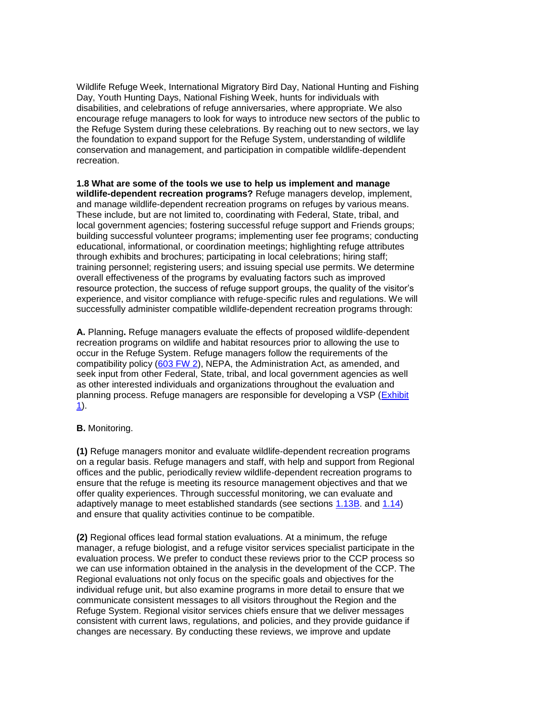Wildlife Refuge Week, International Migratory Bird Day, National Hunting and Fishing Day, Youth Hunting Days, National Fishing Week, hunts for individuals with the foundation to expand support for the Refuge System, understanding of wildlife disabilities, and celebrations of refuge anniversaries, where appropriate. We also encourage refuge managers to look for ways to introduce new sectors of the public to the Refuge System during these celebrations. By reaching out to new sectors, we lay conservation and management, and participation in compatible wildlife-dependent recreation.

**1.8 What are some of the tools we use to help us implement and manage wildlife-dependent recreation programs?** Refuge managers develop, implement, and manage wildlife-dependent recreation programs on refuges by various means. These include, but are not limited to, coordinating with Federal, State, tribal, and local government agencies; fostering successful refuge support and Friends groups; building successful volunteer programs; implementing user fee programs; conducting educational, informational, or coordination meetings; highlighting refuge attributes through exhibits and brochures; participating in local celebrations; hiring staff; training personnel; registering users; and issuing special use permits. We determine overall effectiveness of the programs by evaluating factors such as improved resource protection, the success of refuge support groups, the quality of the visitor's experience, and visitor compliance with refuge-specific rules and regulations. We will successfully administer compatible wildlife-dependent recreation programs through:

 seek input from other Federal, State, tribal, and local government agencies as well **A.** Planning**.** Refuge managers evaluate the effects of proposed wildlife-dependent recreation programs on wildlife and habitat resources prior to allowing the use to occur in the Refuge System. Refuge managers follow the requirements of the compatibility policy [\(603 FW 2\)](http://www.fws.gov/policy/603fw2.html), NEPA, the Administration Act, as amended, and as other interested individuals and organizations throughout the evaluation and planning process. Refuge managers are responsible for developing a VSP (Exhibit [1\)](http://www.fws.gov/policy/e1605fw1.html).

### **B.** Monitoring.

 ensure that the refuge is meeting its resource management objectives and that we offer quality experiences. Through successful monitoring, we can evaluate and **(1)** Refuge managers monitor and evaluate wildlife-dependent recreation programs on a regular basis. Refuge managers and staff, with help and support from Regional offices and the public, periodically review wildlife-dependent recreation programs to adaptively manage to meet established standards (see sections [1.13B.](http://www.fws.gov/policy/605fw1.html#section113B) and [1.14\)](http://www.fws.gov/policy/605fw1.html#section114) and ensure that quality activities continue to be compatible.

 we can use information obtained in the analysis in the development of the CCP. The consistent with current laws, regulations, and policies, and they provide guidance if **(2)** Regional offices lead formal station evaluations. At a minimum, the refuge manager, a refuge biologist, and a refuge visitor services specialist participate in the evaluation process. We prefer to conduct these reviews prior to the CCP process so Regional evaluations not only focus on the specific goals and objectives for the individual refuge unit, but also examine programs in more detail to ensure that we communicate consistent messages to all visitors throughout the Region and the Refuge System. Regional visitor services chiefs ensure that we deliver messages changes are necessary. By conducting these reviews, we improve and update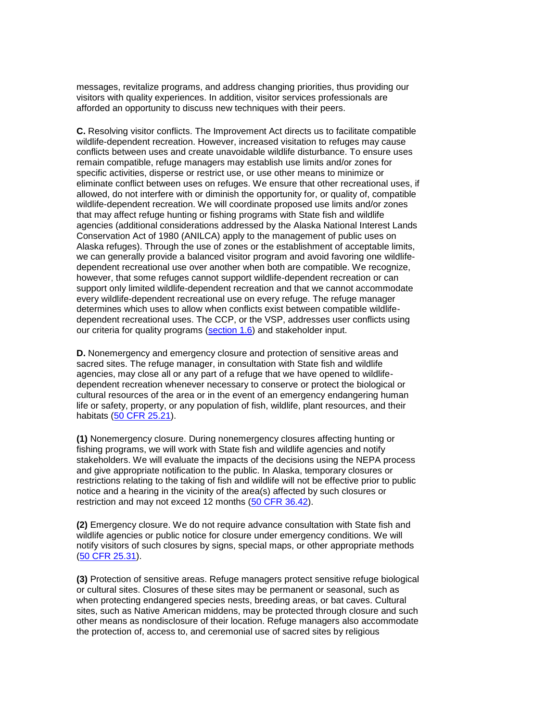messages, revitalize programs, and address changing priorities, thus providing our visitors with quality experiences. In addition, visitor services professionals are afforded an opportunity to discuss new techniques with their peers.

 remain compatible, refuge managers may establish use limits and/or zones for specific activities, disperse or restrict use, or use other means to minimize or eliminate conflict between uses on refuges. We ensure that other recreational uses, if we can generally provide a balanced visitor program and avoid favoring one wildlife- however, that some refuges cannot support wildlife-dependent recreation or can support only limited wildlife-dependent recreation and that we cannot accommodate **C.** Resolving visitor conflicts. The Improvement Act directs us to facilitate compatible wildlife-dependent recreation. However, increased visitation to refuges may cause conflicts between uses and create unavoidable wildlife disturbance. To ensure uses allowed, do not interfere with or diminish the opportunity for, or quality of, compatible wildlife-dependent recreation. We will coordinate proposed use limits and/or zones that may affect refuge hunting or fishing programs with State fish and wildlife agencies (additional considerations addressed by the Alaska National Interest Lands Conservation Act of 1980 (ANILCA) apply to the management of public uses on Alaska refuges). Through the use of zones or the establishment of acceptable limits, dependent recreational use over another when both are compatible. We recognize, every wildlife-dependent recreational use on every refuge. The refuge manager determines which uses to allow when conflicts exist between compatible wildlifedependent recreational uses. The CCP, or the VSP, addresses user conflicts using our criteria for quality programs [\(section 1.6\)](http://www.fws.gov/policy/605fw1.html#section16) and stakeholder input.

 cultural resources of the area or in the event of an emergency endangering human **D.** Nonemergency and emergency closure and protection of sensitive areas and sacred sites. The refuge manager, in consultation with State fish and wildlife agencies, may close all or any part of a refuge that we have opened to wildlifedependent recreation whenever necessary to conserve or protect the biological or life or safety, property, or any population of fish, wildlife, plant resources, and their habitats [\(50 CFR 25.21\)](http://ecfr.gpoaccess.gov/cgi/t/text/text-idx?c=ecfr&sid=b61b80f22611adbeeba9413d62ccdae6&tpl=/ecfrbrowse/Title50/50cfr25_main_02.tpl).

 stakeholders. We will evaluate the impacts of the decisions using the NEPA process notice and a hearing in the vicinity of the area(s) affected by such closures or restriction and may not exceed 12 months [\(50 CFR 36.42\)](http://ecfr.gpoaccess.gov/cgi/t/text/text-idx?c=ecfr&sid=b61b80f22611adbeeba9413d62ccdae6&tpl=/ecfrbrowse/Title50/50cfr36_main_02.tpl). **(1)** Nonemergency closure. During nonemergency closures affecting hunting or fishing programs, we will work with State fish and wildlife agencies and notify and give appropriate notification to the public. In Alaska, temporary closures or restrictions relating to the taking of fish and wildlife will not be effective prior to public

**(2)** Emergency closure. We do not require advance consultation with State fish and wildlife agencies or public notice for closure under emergency conditions. We will notify visitors of such closures by signs, special maps, or other appropriate methods [\(50 CFR 25.31\)](http://ecfr.gpoaccess.gov/cgi/t/text/text-idx?c=ecfr&sid=b61b80f22611adbeeba9413d62ccdae6&tpl=/ecfrbrowse/Title50/50cfr25_main_02.tpl).

 or cultural sites. Closures of these sites may be permanent or seasonal, such as sites, such as Native American middens, may be protected through closure and such **(3)** Protection of sensitive areas. Refuge managers protect sensitive refuge biological when protecting endangered species nests, breeding areas, or bat caves. Cultural other means as nondisclosure of their location. Refuge managers also accommodate the protection of, access to, and ceremonial use of sacred sites by religious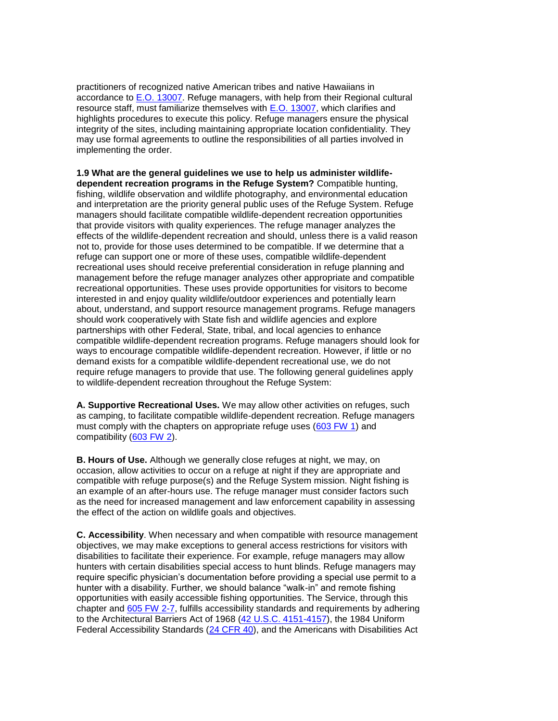highlights procedures to execute this policy. Refuge managers ensure the physical may use formal agreements to outline the responsibilities of all parties involved in practitioners of recognized native American tribes and native Hawaiians in accordance to [E.O. 13007.](http://www.archives.gov/federal-register/executive-orders/1996.html) Refuge managers, with help from their Regional cultural resource staff, must familiarize themselves with [E.O. 13007,](http://www.archives.gov/federal-register/executive-orders/1996.html) which clarifies and integrity of the sites, including maintaining appropriate location confidentiality. They implementing the order.

 partnerships with other Federal, State, tribal, and local agencies to enhance require refuge managers to provide that use. The following general guidelines apply **1.9 What are the general guidelines we use to help us administer wildlifedependent recreation programs in the Refuge System?** Compatible hunting, fishing, wildlife observation and wildlife photography, and environmental education and interpretation are the priority general public uses of the Refuge System. Refuge managers should facilitate compatible wildlife-dependent recreation opportunities that provide visitors with quality experiences. The refuge manager analyzes the effects of the wildlife-dependent recreation and should, unless there is a valid reason not to, provide for those uses determined to be compatible. If we determine that a refuge can support one or more of these uses, compatible wildlife-dependent recreational uses should receive preferential consideration in refuge planning and management before the refuge manager analyzes other appropriate and compatible recreational opportunities. These uses provide opportunities for visitors to become interested in and enjoy quality wildlife/outdoor experiences and potentially learn about, understand, and support resource management programs. Refuge managers should work cooperatively with State fish and wildlife agencies and explore compatible wildlife-dependent recreation programs. Refuge managers should look for ways to encourage compatible wildlife-dependent recreation. However, if little or no demand exists for a compatible wildlife-dependent recreational use, we do not to wildlife-dependent recreation throughout the Refuge System:

**A. Supportive Recreational Uses.** We may allow other activities on refuges, such as camping, to facilitate compatible wildlife-dependent recreation. Refuge managers must comply with the chapters on appropriate refuge uses [\(603 FW 1\)](http://www.fws.gov/policy/603fw1.html) and compatibility [\(603 FW 2\)](http://www.fws.gov/policy/603fw2.html).

 occasion, allow activities to occur on a refuge at night if they are appropriate and compatible with refuge purpose(s) and the Refuge System mission. Night fishing is the effect of the action on wildlife goals and objectives. **B. Hours of Use.** Although we generally close refuges at night, we may, on an example of an after-hours use. The refuge manager must consider factors such as the need for increased management and law enforcement capability in assessing

**C. Accessibility**. When necessary and when compatible with resource management objectives, we may make exceptions to general access restrictions for visitors with disabilities to facilitate their experience. For example, refuge managers may allow hunters with certain disabilities special access to hunt blinds. Refuge managers may require specific physician's documentation before providing a special use permit to a hunter with a disability. Further, we should balance "walk-in" and remote fishing opportunities with easily accessible fishing opportunities. The Service, through this chapter and [605 FW 2-7,](http://www.fws.gov/policy/manuals/) fulfills accessibility standards and requirements by adhering to the Architectural Barriers Act of 1968 [\(42 U.S.C. 4151-4157\)](http://uscode.house.gov/search/criteria.shtml), the 1984 Uniform Federal Accessibility Standards [\(24 CFR 40\)](http://ecfr.gpoaccess.gov/cgi/t/text/text-idx?c=ecfr&sid=6cf80d88b5825b909462b4f3107fd862&rgn=div5&view=text&node=24:1.1.1.1.26&idno=24), and the Americans with Disabilities Act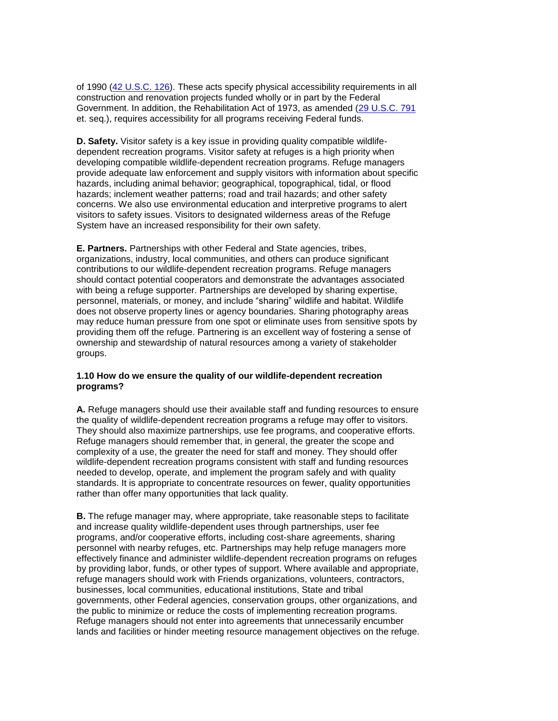of 1990 [\(42 U.S.C. 126\)](http://uscode.house.gov/search/criteria.shtml). These acts specify physical accessibility requirements in all construction and renovation projects funded wholly or in part by the Federal Government. In addition, the Rehabilitation Act of 1973, as amended [\(29 U.S.C. 791](http://uscode.house.gov/search/criteria.shtml)  et. seq.), requires accessibility for all programs receiving Federal funds.

 **D. Safety.** Visitor safety is a key issue in providing quality compatible wildlife- dependent recreation programs. Visitor safety at refuges is a high priority when provide adequate law enforcement and supply visitors with information about specific visitors to safety issues. Visitors to designated wilderness areas of the Refuge developing compatible wildlife-dependent recreation programs. Refuge managers hazards, including animal behavior; geographical, topographical, tidal, or flood hazards; inclement weather patterns; road and trail hazards; and other safety concerns. We also use environmental education and interpretive programs to alert System have an increased responsibility for their own safety.

 should contact potential cooperators and demonstrate the advantages associated personnel, materials, or money, and include "sharing" wildlife and habitat. Wildlife providing them off the refuge. Partnering is an excellent way of fostering a sense of ownership and stewardship of natural resources among a variety of stakeholder **E. Partners.** Partnerships with other Federal and State agencies, tribes, organizations, industry, local communities, and others can produce significant contributions to our wildlife-dependent recreation programs. Refuge managers with being a refuge supporter. Partnerships are developed by sharing expertise, does not observe property lines or agency boundaries. Sharing photography areas may reduce human pressure from one spot or eliminate uses from sensitive spots by groups.

# **1.10 How do we ensure the quality of our wildlife-dependent recreation programs?**

 needed to develop, operate, and implement the program safely and with quality **A.** Refuge managers should use their available staff and funding resources to ensure the quality of wildlife-dependent recreation programs a refuge may offer to visitors. They should also maximize partnerships, use fee programs, and cooperative efforts. Refuge managers should remember that, in general, the greater the scope and complexity of a use, the greater the need for staff and money. They should offer wildlife-dependent recreation programs consistent with staff and funding resources standards. It is appropriate to concentrate resources on fewer, quality opportunities rather than offer many opportunities that lack quality.

 Refuge managers should not enter into agreements that unnecessarily encumber lands and facilities or hinder meeting resource management objectives on the refuge. **B.** The refuge manager may, where appropriate, take reasonable steps to facilitate and increase quality wildlife-dependent uses through partnerships, user fee programs, and/or cooperative efforts, including cost-share agreements, sharing personnel with nearby refuges, etc. Partnerships may help refuge managers more effectively finance and administer wildlife-dependent recreation programs on refuges by providing labor, funds, or other types of support. Where available and appropriate, refuge managers should work with Friends organizations, volunteers, contractors, businesses, local communities, educational institutions, State and tribal governments, other Federal agencies, conservation groups, other organizations, and the public to minimize or reduce the costs of implementing recreation programs.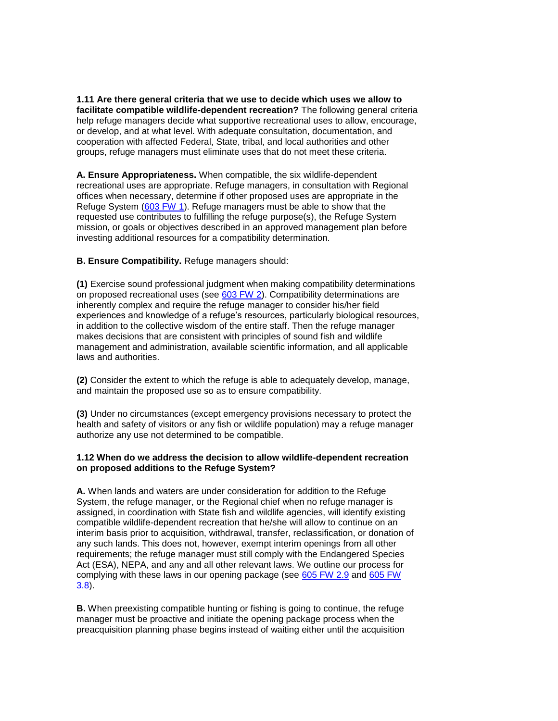**1.11 Are there general criteria that we use to decide which uses we allow to facilitate compatible wildlife-dependent recreation?** The following general criteria help refuge managers decide what supportive recreational uses to allow, encourage, or develop, and at what level. With adequate consultation, documentation, and cooperation with affected Federal, State, tribal, and local authorities and other groups, refuge managers must eliminate uses that do not meet these criteria.

 offices when necessary, determine if other proposed uses are appropriate in the **A. Ensure Appropriateness.** When compatible, the six wildlife-dependent recreational uses are appropriate. Refuge managers, in consultation with Regional Refuge System [\(603 FW 1\)](http://www.fws.gov/policy/603fw1.html). Refuge managers must be able to show that the requested use contributes to fulfilling the refuge purpose(s), the Refuge System mission, or goals or objectives described in an approved management plan before investing additional resources for a compatibility determination.

## **B. Ensure Compatibility.** Refuge managers should:

 management and administration, available scientific information, and all applicable **(1)** Exercise sound professional judgment when making compatibility determinations on proposed recreational uses (see [603 FW 2\)](http://www.fws.gov/policy/603fw2.html). Compatibility determinations are inherently complex and require the refuge manager to consider his/her field experiences and knowledge of a refuge's resources, particularly biological resources, in addition to the collective wisdom of the entire staff. Then the refuge manager makes decisions that are consistent with principles of sound fish and wildlife laws and authorities.

 and maintain the proposed use so as to ensure compatibility. **(2)** Consider the extent to which the refuge is able to adequately develop, manage,

**(3)** Under no circumstances (except emergency provisions necessary to protect the health and safety of visitors or any fish or wildlife population) may a refuge manager authorize any use not determined to be compatible.

### **1.12 When do we address the decision to allow wildlife-dependent recreation on proposed additions to the Refuge System?**

 assigned, in coordination with State fish and wildlife agencies, will identify existing interim basis prior to acquisition, withdrawal, transfer, reclassification, or donation of **A.** When lands and waters are under consideration for addition to the Refuge System, the refuge manager, or the Regional chief when no refuge manager is compatible wildlife-dependent recreation that he/she will allow to continue on an any such lands. This does not, however, exempt interim openings from all other requirements; the refuge manager must still comply with the Endangered Species Act (ESA), NEPA, and any and all other relevant laws. We outline our process for complying with these laws in our opening package (see [605 FW 2.9](http://www.fws.gov/policy/605fw2.html) and 605 FW [3.8\)](http://www.fws.gov/policy/605fw3.html).

 manager must be proactive and initiate the opening package process when the preacquisition planning phase begins instead of waiting either until the acquisition **B.** When preexisting compatible hunting or fishing is going to continue, the refuge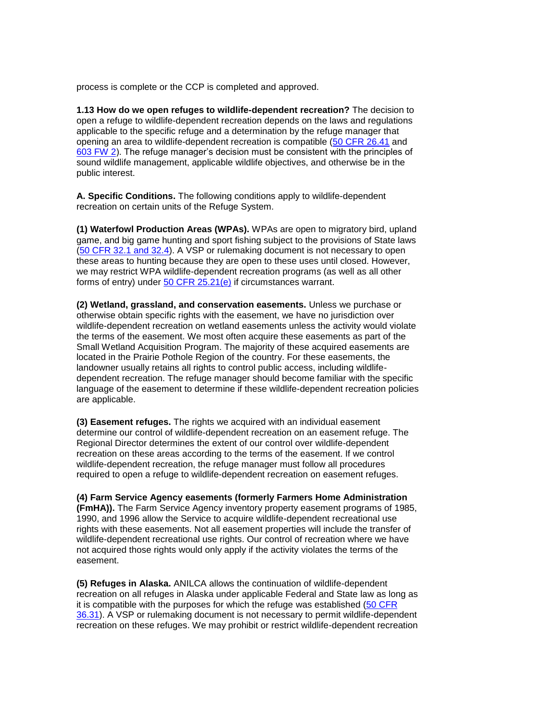process is complete or the CCP is completed and approved.

 applicable to the specific refuge and a determination by the refuge manager that sound wildlife management, applicable wildlife objectives, and otherwise be in the **1.13 How do we open refuges to wildlife-dependent recreation?** The decision to open a refuge to wildlife-dependent recreation depends on the laws and regulations opening an area to wildlife-dependent recreation is compatible [\(50 CFR 26.41](http://ecfr.gpoaccess.gov/cgi/t/text/text-idx?c=ecfr&sid=3a9200dd0767354ef39281dced56a62e&rgn=div5&view=text&node=50:6.0.1.2.9&idno=50) and [603 FW 2\)](http://www.fws.gov/policy/603fw2.html). The refuge manager's decision must be consistent with the principles of public interest.

**A. Specific Conditions.** The following conditions apply to wildlife-dependent recreation on certain units of the Refuge System.

 we may restrict WPA wildlife-dependent recreation programs (as well as all other **(1) Waterfowl Production Areas (WPAs).** WPAs are open to migratory bird, upland game, and big game hunting and sport fishing subject to the provisions of State laws [\(50 CFR 32.1 and 32.4\)](http://ecfr.gpoaccess.gov/cgi/t/text/text-idx?c=ecfr&sid=3a9200dd0767354ef39281dced56a62e&rgn=div5&view=text&node=50:6.0.1.2.15&idno=50). A VSP or rulemaking document is not necessary to open these areas to hunting because they are open to these uses until closed. However, forms of entry) under [50 CFR 25.21\(e\)](http://ecfr.gpoaccess.gov/cgi/t/text/text-idx?c=ecfr&sid=3a9200dd0767354ef39281dced56a62e&rgn=div5&view=text&node=50:6.0.1.2.8&idno=50) if circumstances warrant.

**(2) Wetland, grassland, and conservation easements.** Unless we purchase or otherwise obtain specific rights with the easement, we have no jurisdiction over wildlife-dependent recreation on wetland easements unless the activity would violate the terms of the easement. We most often acquire these easements as part of the Small Wetland Acquisition Program. The majority of these acquired easements are located in the Prairie Pothole Region of the country. For these easements, the landowner usually retains all rights to control public access, including wildlifedependent recreation. The refuge manager should become familiar with the specific language of the easement to determine if these wildlife-dependent recreation policies are applicable.

**(3) Easement refuges.** The rights we acquired with an individual easement determine our control of wildlife-dependent recreation on an easement refuge. The Regional Director determines the extent of our control over wildlife-dependent recreation on these areas according to the terms of the easement. If we control wildlife-dependent recreation, the refuge manager must follow all procedures required to open a refuge to wildlife-dependent recreation on easement refuges.

 wildlife-dependent recreational use rights. Our control of recreation where we have **(4) Farm Service Agency easements (formerly Farmers Home Administration (FmHA)).** The Farm Service Agency inventory property easement programs of 1985, 1990, and 1996 allow the Service to acquire wildlife-dependent recreational use rights with these easements. Not all easement properties will include the transfer of not acquired those rights would only apply if the activity violates the terms of the easement.

 recreation on all refuges in Alaska under applicable Federal and State law as long as [36.31\)](http://ecfr.gpoaccess.gov/cgi/t/text/text-idx?c=ecfr&sid=3a9200dd0767354ef39281dced56a62e&rgn=div5&view=text&node=50:6.0.1.2.18&idno=50). A VSP or rulemaking document is not necessary to permit wildlife-dependent **(5) Refuges in Alaska.** ANILCA allows the continuation of wildlife-dependent it is compatible with the purposes for which the refuge was established [\(50 CFR](http://ecfr.gpoaccess.gov/cgi/t/text/text-idx?c=ecfr&sid=3a9200dd0767354ef39281dced56a62e&rgn=div5&view=text&node=50:6.0.1.2.18&idno=50)  recreation on these refuges. We may prohibit or restrict wildlife-dependent recreation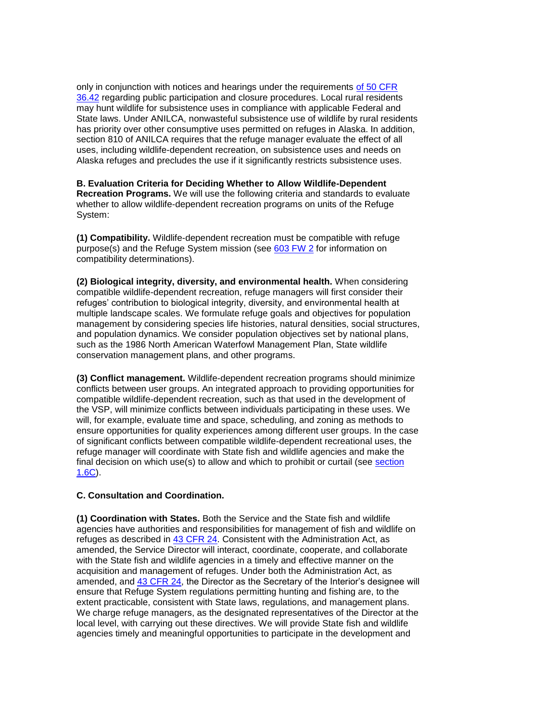uses, including wildlife-dependent recreation, on subsistence uses and needs on only in conjunction with notices and hearings under the requirements [of 50 CFR](http://ecfr.gpoaccess.gov/cgi/t/text/text-idx?c=ecfr&sid=3a9200dd0767354ef39281dced56a62e&rgn=div5&view=text&node=50:6.0.1.2.18&idno=50)  [36.42](http://ecfr.gpoaccess.gov/cgi/t/text/text-idx?c=ecfr&sid=3a9200dd0767354ef39281dced56a62e&rgn=div5&view=text&node=50:6.0.1.2.18&idno=50) regarding public participation and closure procedures. Local rural residents may hunt wildlife for subsistence uses in compliance with applicable Federal and State laws. Under ANILCA, nonwasteful subsistence use of wildlife by rural residents has priority over other consumptive uses permitted on refuges in Alaska. In addition, section 810 of ANILCA requires that the refuge manager evaluate the effect of all Alaska refuges and precludes the use if it significantly restricts subsistence uses.

**B. Evaluation Criteria for Deciding Whether to Allow Wildlife-Dependent Recreation Programs.** We will use the following criteria and standards to evaluate whether to allow wildlife-dependent recreation programs on units of the Refuge System:

purpose(s) and the Refuge System mission (see [603 FW 2](http://www.fws.gov/policy/603fw2.html) for information on **(1) Compatibility.** Wildlife-dependent recreation must be compatible with refuge compatibility determinations).

**(2) Biological integrity, diversity, and environmental health.** When considering compatible wildlife-dependent recreation, refuge managers will first consider their refuges' contribution to biological integrity, diversity, and environmental health at multiple landscape scales. We formulate refuge goals and objectives for population management by considering species life histories, natural densities, social structures, and population dynamics. We consider population objectives set by national plans, such as the 1986 North American Waterfowl Management Plan, State wildlife conservation management plans, and other programs.

final decision on which use(s) to allow and which to prohibit or curtail (see section **(3) Conflict management.** Wildlife-dependent recreation programs should minimize conflicts between user groups. An integrated approach to providing opportunities for compatible wildlife-dependent recreation, such as that used in the development of the VSP, will minimize conflicts between individuals participating in these uses. We will, for example, evaluate time and space, scheduling, and zoning as methods to ensure opportunities for quality experiences among different user groups. In the case of significant conflicts between compatible wildlife-dependent recreational uses, the refuge manager will coordinate with State fish and wildlife agencies and make the [1.6C\)](http://www.fws.gov/policy/605fw1.html#section16).

### **C. Consultation and Coordination.**

 agencies have authorities and responsibilities for management of fish and wildlife on with the State fish and wildlife agencies in a timely and effective manner on the amended, and [43 CFR 24,](http://ecfr.gpoaccess.gov/cgi/t/text/text-idx?c=ecfr&sid=3a21446bce425c0d43612999e1b67362&rgn=div5&view=text&node=43:1.1.1.1.24&idno=43) the Director as the Secretary of the Interior's designee will **(1) Coordination with States.** Both the Service and the State fish and wildlife refuges as described in [43 CFR 24.](http://ecfr.gpoaccess.gov/cgi/t/text/text-idx?c=ecfr&sid=3a21446bce425c0d43612999e1b67362&rgn=div5&view=text&node=43:1.1.1.1.24&idno=43) Consistent with the Administration Act, as amended, the Service Director will interact, coordinate, cooperate, and collaborate acquisition and management of refuges. Under both the Administration Act, as ensure that Refuge System regulations permitting hunting and fishing are, to the extent practicable, consistent with State laws, regulations, and management plans. We charge refuge managers, as the designated representatives of the Director at the local level, with carrying out these directives. We will provide State fish and wildlife agencies timely and meaningful opportunities to participate in the development and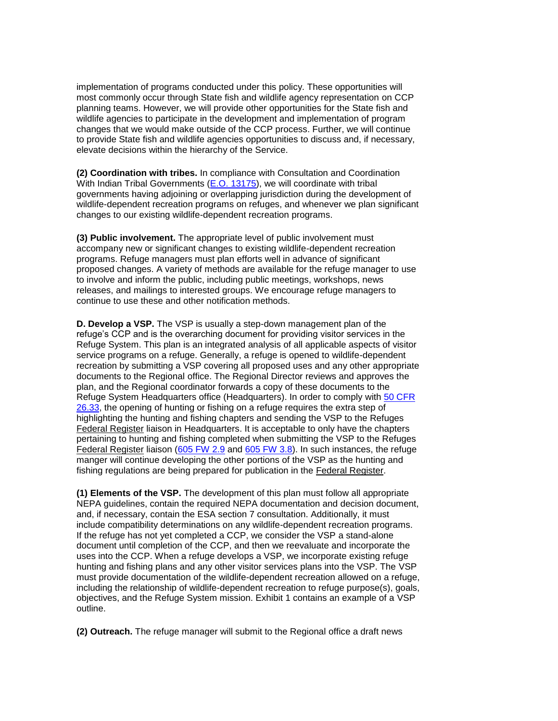implementation of programs conducted under this policy. These opportunities will most commonly occur through State fish and wildlife agency representation on CCP wildlife agencies to participate in the development and implementation of program planning teams. However, we will provide other opportunities for the State fish and changes that we would make outside of the CCP process. Further, we will continue to provide State fish and wildlife agencies opportunities to discuss and, if necessary, elevate decisions within the hierarchy of the Service.

**(2) Coordination with tribes.** In compliance with Consultation and Coordination With Indian Tribal Governments [\(E.O. 13175\)](http://www.archives.gov/federal-register/executive-orders/2000.html), we will coordinate with tribal governments having adjoining or overlapping jurisdiction during the development of wildlife-dependent recreation programs on refuges, and whenever we plan significant changes to our existing wildlife-dependent recreation programs.

 accompany new or significant changes to existing wildlife-dependent recreation programs. Refuge managers must plan efforts well in advance of significant releases, and mailings to interested groups. We encourage refuge managers to **(3) Public involvement.** The appropriate level of public involvement must proposed changes. A variety of methods are available for the refuge manager to use to involve and inform the public, including public meetings, workshops, news continue to use these and other notification methods.

 service programs on a refuge. Generally, a refuge is opened to wildlife-dependent [26.33,](http://ecfr.gpoaccess.gov/cgi/t/text/text-idx?c=ecfr;sid=3a9200dd0767354ef39281dced56a62e;rgn=div5;view=text;node=50:6.0.1.2.9;idno=50;cc=ecfr) the opening of hunting or fishing on a refuge requires the extra step of highlighting the hunting and fishing chapters and sending the VSP to the Refuges fishing regulations are being prepared for publication in the Federal Register. **D. Develop a VSP.** The VSP is usually a step-down management plan of the refuge's CCP and is the overarching document for providing visitor services in the Refuge System. This plan is an integrated analysis of all applicable aspects of visitor recreation by submitting a VSP covering all proposed uses and any other appropriate documents to the Regional office. The Regional Director reviews and approves the plan, and the Regional coordinator forwards a copy of these documents to the Refuge System Headquarters office (Headquarters). In order to comply with [50 CFR](http://ecfr.gpoaccess.gov/cgi/t/text/text-idx?c=ecfr;sid=3a9200dd0767354ef39281dced56a62e;rgn=div5;view=text;node=50:6.0.1.2.9;idno=50;cc=ecfr)  Federal Register liaison in Headquarters. It is acceptable to only have the chapters pertaining to hunting and fishing completed when submitting the VSP to the Refuges Federal Register liaison [\(605 FW 2.9](http://www.fws.gov/policy/605fw2.html) and [605 FW 3.8\)](http://www.fws.gov/policy/605fw3.html). In such instances, the refuge manger will continue developing the other portions of the VSP as the hunting and

 hunting and fishing plans and any other visitor services plans into the VSP. The VSP **(1) Elements of the VSP.** The development of this plan must follow all appropriate NEPA guidelines, contain the required NEPA documentation and decision document, and, if necessary, contain the ESA section 7 consultation. Additionally, it must include compatibility determinations on any wildlife-dependent recreation programs. If the refuge has not yet completed a CCP, we consider the VSP a stand-alone document until completion of the CCP, and then we reevaluate and incorporate the uses into the CCP. When a refuge develops a VSP, we incorporate existing refuge must provide documentation of the wildlife-dependent recreation allowed on a refuge, including the relationship of wildlife-dependent recreation to refuge purpose(s), goals, objectives, and the Refuge System mission. Exhibit 1 contains an example of a VSP outline.

**(2) Outreach.** The refuge manager will submit to the Regional office a draft news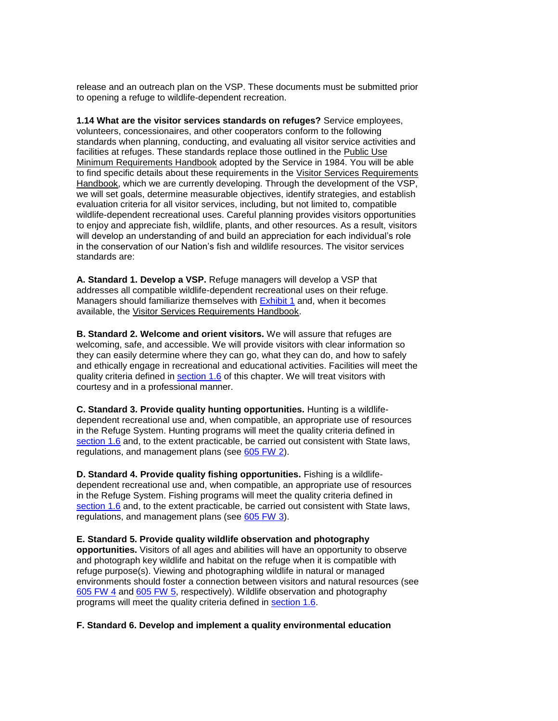release and an outreach plan on the VSP. These documents must be submitted prior to opening a refuge to wildlife-dependent recreation.

Minimum Requirements Handbook adopted by the Service in 1984. You will be able **1.14 What are the visitor services standards on refuges?** Service employees, volunteers, concessionaires, and other cooperators conform to the following standards when planning, conducting, and evaluating all visitor service activities and facilities at refuges. These standards replace those outlined in the Public Use to find specific details about these requirements in the Visitor Services Requirements Handbook, which we are currently developing. Through the development of the VSP, we will set goals, determine measurable objectives, identify strategies, and establish evaluation criteria for all visitor services, including, but not limited to, compatible wildlife-dependent recreational uses. Careful planning provides visitors opportunities to enjoy and appreciate fish, wildlife, plants, and other resources. As a result, visitors will develop an understanding of and build an appreciation for each individual's role in the conservation of our Nation's fish and wildlife resources. The visitor services standards are:

**A. Standard 1. Develop a VSP.** Refuge managers will develop a VSP that addresses all compatible wildlife-dependent recreational uses on their refuge. Managers should familiarize themselves with **Exhibit 1** and, when it becomes available, the Visitor Services Requirements Handbook.

 they can easily determine where they can go, what they can do, and how to safely **B. Standard 2. Welcome and orient visitors.** We will assure that refuges are welcoming, safe, and accessible. We will provide visitors with clear information so and ethically engage in recreational and educational activities. Facilities will meet the quality criteria defined in [section 1.6](http://www.fws.gov/policy/605fw1.html#section16) of this chapter. We will treat visitors with courtesy and in a professional manner.

**C. Standard 3. Provide quality hunting opportunities.** Hunting is a wildlifedependent recreational use and, when compatible, an appropriate use of resources in the Refuge System. Hunting programs will meet the quality criteria defined in [section 1.6](http://www.fws.gov/policy/605fw1.html#section16) and, to the extent practicable, be carried out consistent with State laws, regulations, and management plans (see [605 FW 2\)](http://www.fws.gov/policy/605fw2.html).

**D. Standard 4. Provide quality fishing opportunities.** Fishing is a wildlifedependent recreational use and, when compatible, an appropriate use of resources in the Refuge System. Fishing programs will meet the quality criteria defined in [section 1.6](http://www.fws.gov/policy/605fw1.html#section16) and, to the extent practicable, be carried out consistent with State laws, regulations, and management plans (see [605 FW 3\)](http://www.fws.gov/policy/605fw3.html).

 **opportunities.** Visitors of all ages and abilities will have an opportunity to observe and photograph key wildlife and habitat on the refuge when it is compatible with **E. Standard 5. Provide quality wildlife observation and photography**  refuge purpose(s). Viewing and photographing wildlife in natural or managed environments should foster a connection between visitors and natural resources (see [605 FW 4](http://www.fws.gov/policy/605fw4.html) and [605 FW 5,](http://www.fws.gov/policy/605fw5.html) respectively). Wildlife observation and photography programs will meet the quality criteria defined in [section 1.6.](http://www.fws.gov/policy/605fw1.html#section16)

#### **F. Standard 6. Develop and implement a quality environmental education**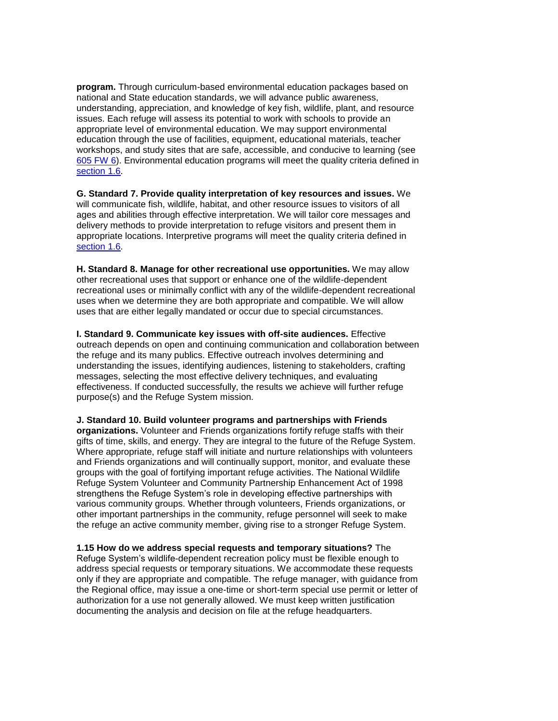**program.** Through curriculum-based environmental education packages based on national and State education standards, we will advance public awareness, understanding, appreciation, and knowledge of key fish, wildlife, plant, and resource issues. Each refuge will assess its potential to work with schools to provide an appropriate level of environmental education. We may support environmental education through the use of facilities, equipment, educational materials, teacher workshops, and study sites that are safe, accessible, and conducive to learning (see [605 FW 6\)](http://www.fws.gov/policy/605fw6.html). Environmental education programs will meet the quality criteria defined in [section 1.6.](http://www.fws.gov/policy/605fw1.html#section16)

**G. Standard 7. Provide quality interpretation of key resources and issues.** We will communicate fish, wildlife, habitat, and other resource issues to visitors of all ages and abilities through effective interpretation. We will tailor core messages and delivery methods to provide interpretation to refuge visitors and present them in appropriate locations. Interpretive programs will meet the quality criteria defined in [section 1.6.](http://www.fws.gov/policy/605fw1.html#section16)

**H. Standard 8. Manage for other recreational use opportunities.** We may allow other recreational uses that support or enhance one of the wildlife-dependent recreational uses or minimally conflict with any of the wildlife-dependent recreational uses when we determine they are both appropriate and compatible. We will allow uses that are either legally mandated or occur due to special circumstances.

 outreach depends on open and continuing communication and collaboration between the refuge and its many publics. Effective outreach involves determining and understanding the issues, identifying audiences, listening to stakeholders, crafting messages, selecting the most effective delivery techniques, and evaluating purpose(s) and the Refuge System mission. **I. Standard 9. Communicate key issues with off-site audiences.** Effective effectiveness. If conducted successfully, the results we achieve will further refuge

 groups with the goal of fortifying important refuge activities. The National Wildlife other important partnerships in the community, refuge personnel will seek to make **J. Standard 10. Build volunteer programs and partnerships with Friends organizations.** Volunteer and Friends organizations fortify refuge staffs with their gifts of time, skills, and energy. They are integral to the future of the Refuge System. Where appropriate, refuge staff will initiate and nurture relationships with volunteers and Friends organizations and will continually support, monitor, and evaluate these Refuge System Volunteer and Community Partnership Enhancement Act of 1998 strengthens the Refuge System's role in developing effective partnerships with various community groups. Whether through volunteers, Friends organizations, or the refuge an active community member, giving rise to a stronger Refuge System.

 only if they are appropriate and compatible. The refuge manager, with guidance from authorization for a use not generally allowed. We must keep written justification documenting the analysis and decision on file at the refuge headquarters. **1.15 How do we address special requests and temporary situations?** The Refuge System's wildlife-dependent recreation policy must be flexible enough to address special requests or temporary situations. We accommodate these requests the Regional office, may issue a one-time or short-term special use permit or letter of